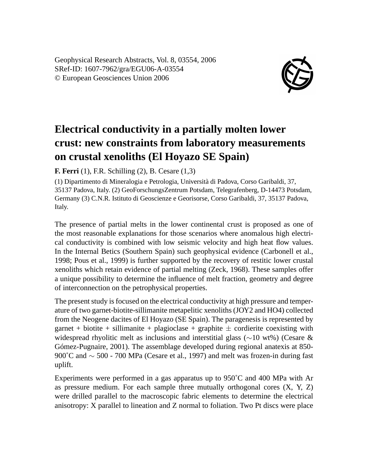Geophysical Research Abstracts, Vol. 8, 03554, 2006 SRef-ID: 1607-7962/gra/EGU06-A-03554 © European Geosciences Union 2006



## **Electrical conductivity in a partially molten lower crust: new constraints from laboratory measurements on crustal xenoliths (El Hoyazo SE Spain)**

**F. Ferri** (1), F.R. Schilling (2), B. Cesare (1,3)

(1) Dipartimento di Mineralogia e Petrologia, Università di Padova, Corso Garibaldi, 37, 35137 Padova, Italy. (2) GeoForschungsZentrum Potsdam, Telegrafenberg, D-14473 Potsdam, Germany (3) C.N.R. Istituto di Geoscienze e Georisorse, Corso Garibaldi, 37, 35137 Padova, Italy.

The presence of partial melts in the lower continental crust is proposed as one of the most reasonable explanations for those scenarios where anomalous high electrical conductivity is combined with low seismic velocity and high heat flow values. In the Internal Betics (Southern Spain) such geophysical evidence (Carbonell et al., 1998; Pous et al., 1999) is further supported by the recovery of restitic lower crustal xenoliths which retain evidence of partial melting (Zeck, 1968). These samples offer a unique possibility to determine the influence of melt fraction, geometry and degree of interconnection on the petrophysical properties.

The present study is focused on the electrical conductivity at high pressure and temperature of two garnet-biotite-sillimanite metapelitic xenoliths (JOY2 and HO4) collected from the Neogene dacites of El Hoyazo (SE Spain). The paragenesis is represented by garnet + biotite + sillimanite + plagioclase + graphite  $\pm$  cordierite coexisting with widespread rhyolitic melt as inclusions and interstitial glass (∼10 wt%) (Cesare & Gómez-Pugnaire, 2001). The assemblage developed during regional anatexis at 850- 900˚C and ∼ 500 - 700 MPa (Cesare et al., 1997) and melt was frozen-in during fast uplift.

Experiments were performed in a gas apparatus up to 950˚C and 400 MPa with Ar as pressure medium. For each sample three mutually orthogonal cores  $(X, Y, Z)$ were drilled parallel to the macroscopic fabric elements to determine the electrical anisotropy: X parallel to lineation and Z normal to foliation. Two Pt discs were place